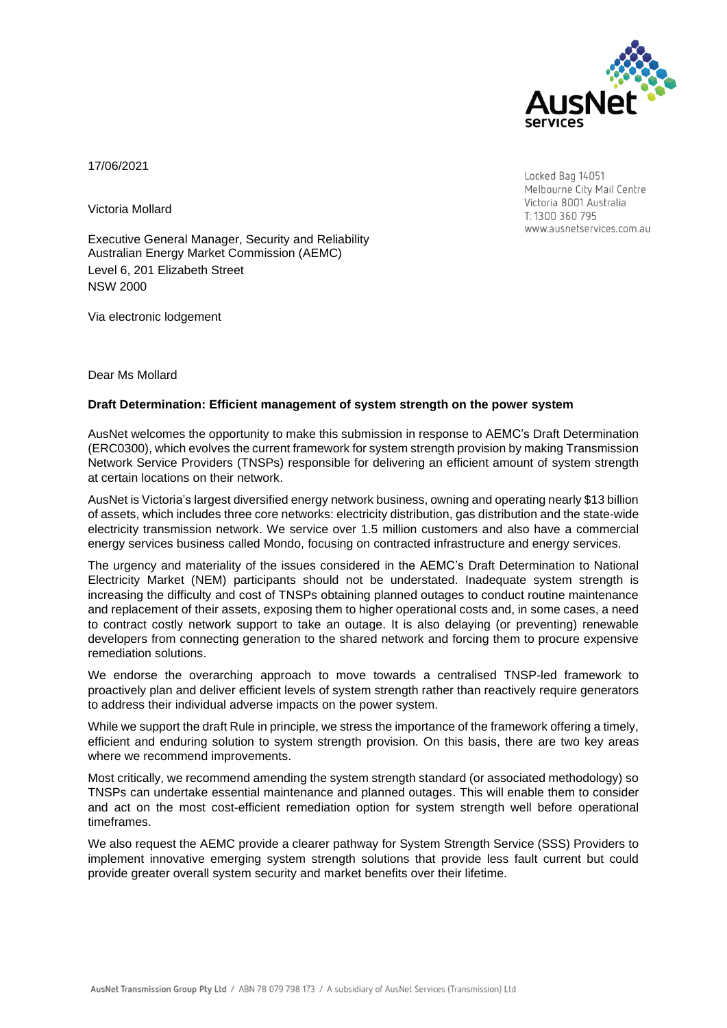

17/06/2021

Victoria Mollard

Executive General Manager, Security and Reliability Australian Energy Market Commission (AEMC) Level 6, 201 Elizabeth Street NSW 2000

Via electronic lodgement

Dear Ms Mollard

#### **Draft Determination: Efficient management of system strength on the power system**

AusNet welcomes the opportunity to make this submission in response to AEMC's Draft Determination (ERC0300), which evolves the current framework for system strength provision by making Transmission Network Service Providers (TNSPs) responsible for delivering an efficient amount of system strength at certain locations on their network.

AusNet is Victoria's largest diversified energy network business, owning and operating nearly \$13 billion of assets, which includes three core networks: electricity distribution, gas distribution and the state-wide electricity transmission network. We service over 1.5 million customers and also have a commercial energy services business called Mondo, focusing on contracted infrastructure and energy services.

The urgency and materiality of the issues considered in the AEMC's Draft Determination to National Electricity Market (NEM) participants should not be understated. Inadequate system strength is increasing the difficulty and cost of TNSPs obtaining planned outages to conduct routine maintenance and replacement of their assets, exposing them to higher operational costs and, in some cases, a need to contract costly network support to take an outage. It is also delaying (or preventing) renewable developers from connecting generation to the shared network and forcing them to procure expensive remediation solutions.

We endorse the overarching approach to move towards a centralised TNSP-led framework to proactively plan and deliver efficient levels of system strength rather than reactively require generators to address their individual adverse impacts on the power system.

While we support the draft Rule in principle, we stress the importance of the framework offering a timely, efficient and enduring solution to system strength provision. On this basis, there are two key areas where we recommend improvements.

Most critically, we recommend amending the system strength standard (or associated methodology) so TNSPs can undertake essential maintenance and planned outages. This will enable them to consider and act on the most cost-efficient remediation option for system strength well before operational timeframes.

We also request the AEMC provide a clearer pathway for System Strength Service (SSS) Providers to implement innovative emerging system strength solutions that provide less fault current but could provide greater overall system security and market benefits over their lifetime.

Locked Bag 14051 Melbourne City Mail Centre Victoria 8001 Australia T: 1300 360 795 www.ausnetservices.com.au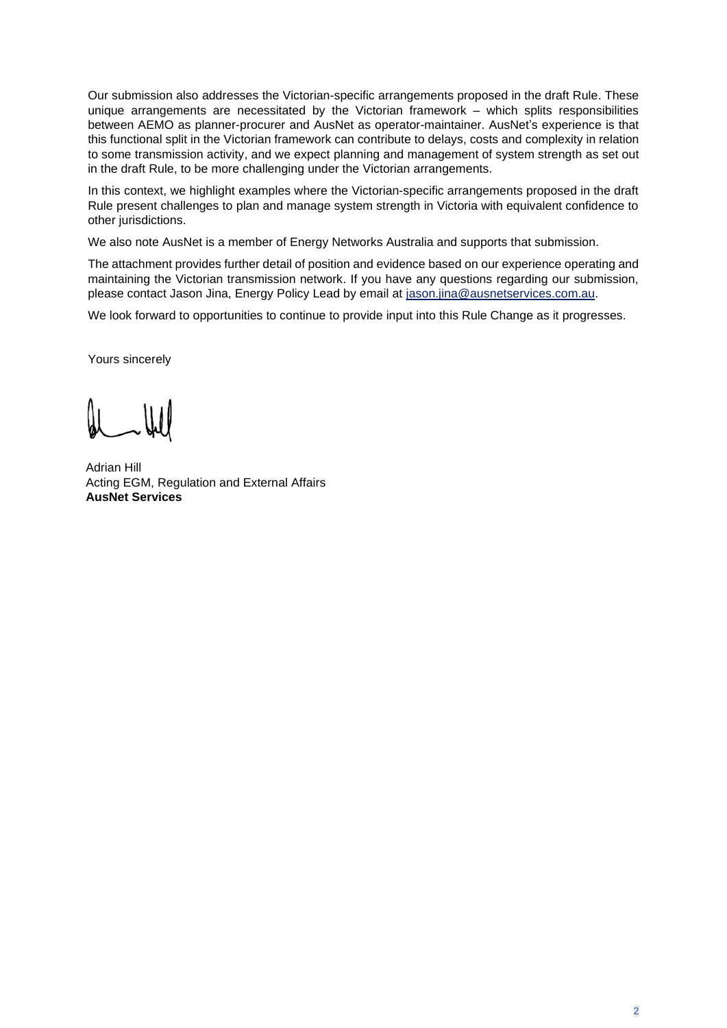Our submission also addresses the Victorian-specific arrangements proposed in the draft Rule. These unique arrangements are necessitated by the Victorian framework – which splits responsibilities between AEMO as planner-procurer and AusNet as operator-maintainer. AusNet's experience is that this functional split in the Victorian framework can contribute to delays, costs and complexity in relation to some transmission activity, and we expect planning and management of system strength as set out in the draft Rule, to be more challenging under the Victorian arrangements.

In this context, we highlight examples where the Victorian-specific arrangements proposed in the draft Rule present challenges to plan and manage system strength in Victoria with equivalent confidence to other jurisdictions.

We also note AusNet is a member of Energy Networks Australia and supports that submission.

The attachment provides further detail of position and evidence based on our experience operating and maintaining the Victorian transmission network. If you have any questions regarding our submission, please contact Jason Jina, Energy Policy Lead by email at [jason.jina@ausnetservices.com.au.](mailto:jason.jina@ausnetservices.com.au)

We look forward to opportunities to continue to provide input into this Rule Change as it progresses.

Yours sincerely

Adrian Hill Acting EGM, Regulation and External Affairs **AusNet Services**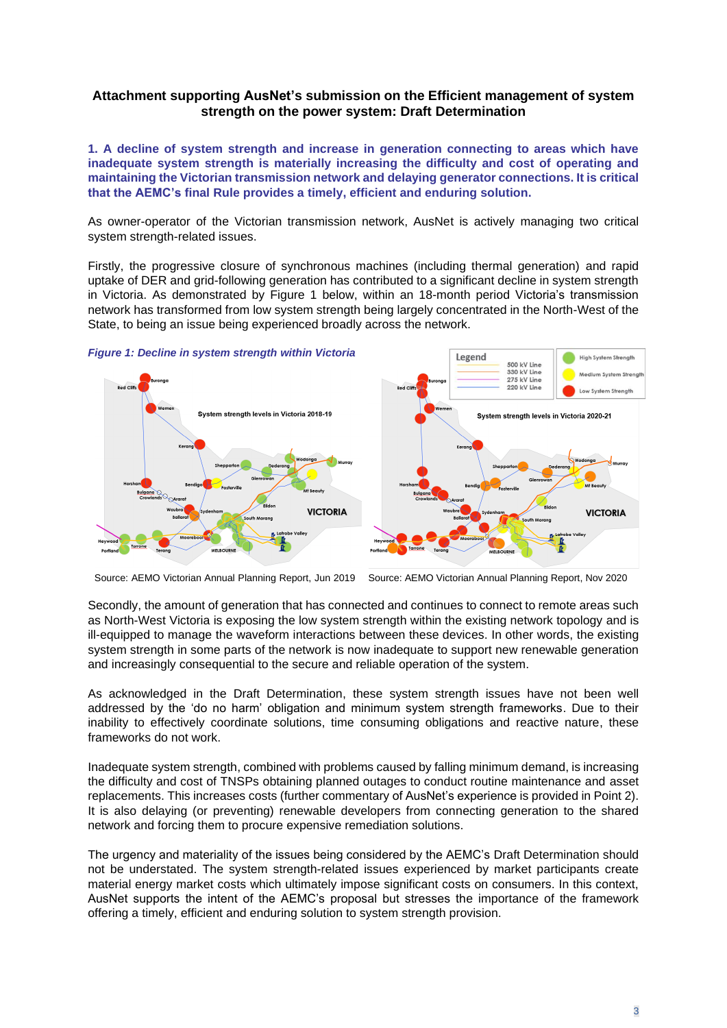# **Attachment supporting AusNet's submission on the Efficient management of system strength on the power system: Draft Determination**

**1. A decline of system strength and increase in generation connecting to areas which have inadequate system strength is materially increasing the difficulty and cost of operating and maintaining the Victorian transmission network and delaying generator connections. It is critical that the AEMC's final Rule provides a timely, efficient and enduring solution.**

As owner-operator of the Victorian transmission network, AusNet is actively managing two critical system strength-related issues.

Firstly, the progressive closure of synchronous machines (including thermal generation) and rapid uptake of DER and grid-following generation has contributed to a significant decline in system strength in Victoria. As demonstrated by Figure 1 below, within an 18-month period Victoria's transmission network has transformed from low system strength being largely concentrated in the North-West of the State, to being an issue being experienced broadly across the network.

*Figure 1: Decline in system strength within Victoria*



Source: AEMO Victorian Annual Planning Report, Jun 2019 Source: AEMO Victorian Annual Planning Report, Nov 2020

Secondly, the amount of generation that has connected and continues to connect to remote areas such as North-West Victoria is exposing the low system strength within the existing network topology and is ill-equipped to manage the waveform interactions between these devices. In other words, the existing system strength in some parts of the network is now inadequate to support new renewable generation and increasingly consequential to the secure and reliable operation of the system.

As acknowledged in the Draft Determination, these system strength issues have not been well addressed by the 'do no harm' obligation and minimum system strength frameworks. Due to their inability to effectively coordinate solutions, time consuming obligations and reactive nature, these frameworks do not work.

Inadequate system strength, combined with problems caused by falling minimum demand, is increasing the difficulty and cost of TNSPs obtaining planned outages to conduct routine maintenance and asset replacements. This increases costs (further commentary of AusNet's experience is provided in Point 2). It is also delaying (or preventing) renewable developers from connecting generation to the shared network and forcing them to procure expensive remediation solutions.

The urgency and materiality of the issues being considered by the AEMC's Draft Determination should not be understated. The system strength-related issues experienced by market participants create material energy market costs which ultimately impose significant costs on consumers. In this context, AusNet supports the intent of the AEMC's proposal but stresses the importance of the framework offering a timely, efficient and enduring solution to system strength provision.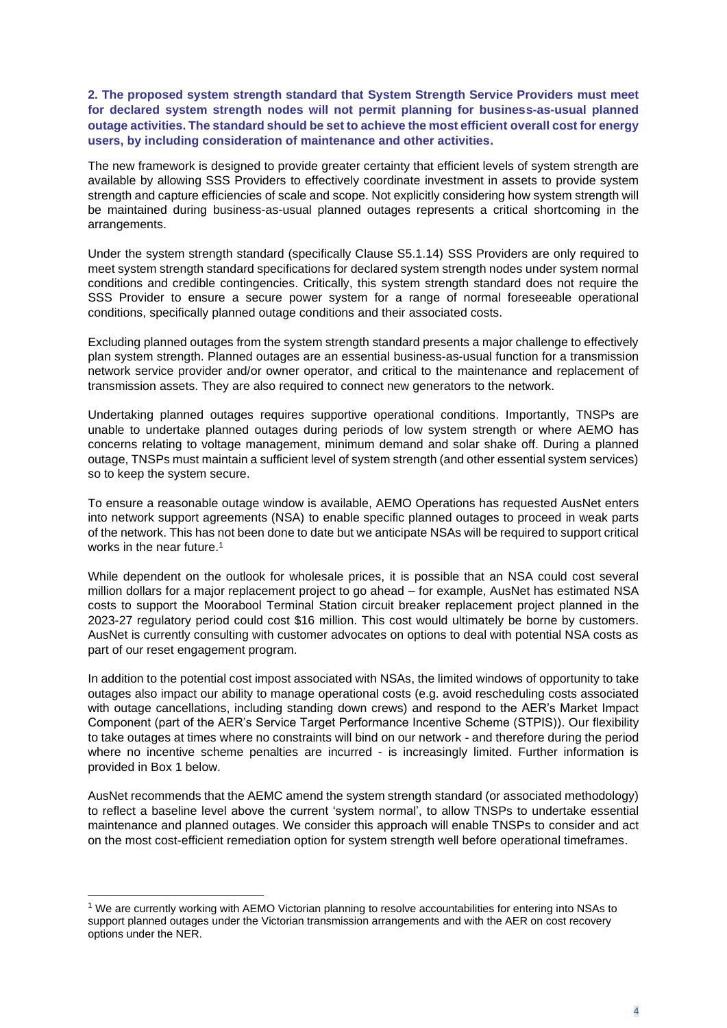**2. The proposed system strength standard that System Strength Service Providers must meet for declared system strength nodes will not permit planning for business-as-usual planned outage activities. The standard should be set to achieve the most efficient overall cost for energy users, by including consideration of maintenance and other activities.** 

The new framework is designed to provide greater certainty that efficient levels of system strength are available by allowing SSS Providers to effectively coordinate investment in assets to provide system strength and capture efficiencies of scale and scope. Not explicitly considering how system strength will be maintained during business-as-usual planned outages represents a critical shortcoming in the arrangements.

Under the system strength standard (specifically Clause S5.1.14) SSS Providers are only required to meet system strength standard specifications for declared system strength nodes under system normal conditions and credible contingencies. Critically, this system strength standard does not require the SSS Provider to ensure a secure power system for a range of normal foreseeable operational conditions, specifically planned outage conditions and their associated costs.

Excluding planned outages from the system strength standard presents a major challenge to effectively plan system strength. Planned outages are an essential business-as-usual function for a transmission network service provider and/or owner operator, and critical to the maintenance and replacement of transmission assets. They are also required to connect new generators to the network.

Undertaking planned outages requires supportive operational conditions. Importantly, TNSPs are unable to undertake planned outages during periods of low system strength or where AEMO has concerns relating to voltage management, minimum demand and solar shake off. During a planned outage, TNSPs must maintain a sufficient level of system strength (and other essential system services) so to keep the system secure.

To ensure a reasonable outage window is available, AEMO Operations has requested AusNet enters into network support agreements (NSA) to enable specific planned outages to proceed in weak parts of the network. This has not been done to date but we anticipate NSAs will be required to support critical works in the near future. 1

While dependent on the outlook for wholesale prices, it is possible that an NSA could cost several million dollars for a major replacement project to go ahead – for example, AusNet has estimated NSA costs to support the Moorabool Terminal Station circuit breaker replacement project planned in the 2023-27 regulatory period could cost \$16 million. This cost would ultimately be borne by customers. AusNet is currently consulting with customer advocates on options to deal with potential NSA costs as part of our reset engagement program.

In addition to the potential cost impost associated with NSAs, the limited windows of opportunity to take outages also impact our ability to manage operational costs (e.g. avoid rescheduling costs associated with outage cancellations, including standing down crews) and respond to the AER's Market Impact Component (part of the AER's Service Target Performance Incentive Scheme (STPIS)). Our flexibility to take outages at times where no constraints will bind on our network - and therefore during the period where no incentive scheme penalties are incurred - is increasingly limited. Further information is provided in Box 1 below.

AusNet recommends that the AEMC amend the system strength standard (or associated methodology) to reflect a baseline level above the current 'system normal', to allow TNSPs to undertake essential maintenance and planned outages. We consider this approach will enable TNSPs to consider and act on the most cost-efficient remediation option for system strength well before operational timeframes.

<sup>1</sup> We are currently working with AEMO Victorian planning to resolve accountabilities for entering into NSAs to support planned outages under the Victorian transmission arrangements and with the AER on cost recovery options under the NER.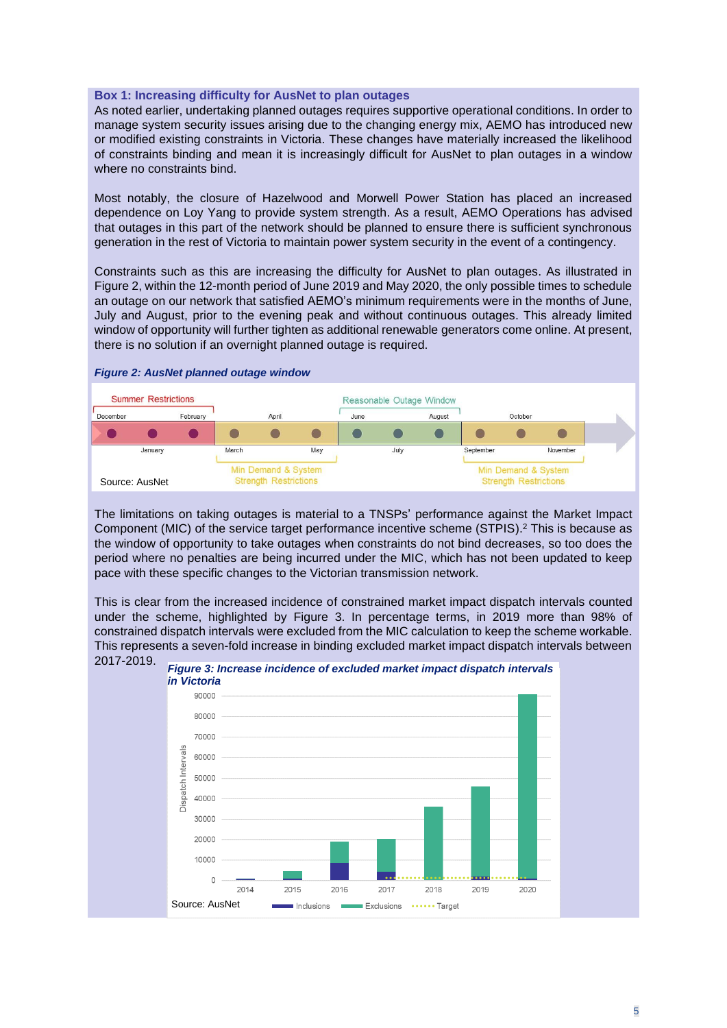#### **Box 1: Increasing difficulty for AusNet to plan outages**

As noted earlier, undertaking planned outages requires supportive operational conditions. In order to manage system security issues arising due to the changing energy mix, AEMO has introduced new or modified existing constraints in Victoria. These changes have materially increased the likelihood of constraints binding and mean it is increasingly difficult for AusNet to plan outages in a window where no constraints bind.

Most notably, the closure of Hazelwood and Morwell Power Station has placed an increased dependence on Loy Yang to provide system strength. As a result, AEMO Operations has advised that outages in this part of the network should be planned to ensure there is sufficient synchronous generation in the rest of Victoria to maintain power system security in the event of a contingency.

Constraints such as this are increasing the difficulty for AusNet to plan outages. As illustrated in Figure 2, within the 12-month period of June 2019 and May 2020, the only possible times to schedule an outage on our network that satisfied AEMO's minimum requirements were in the months of June, July and August, prior to the evening peak and without continuous outages. This already limited window of opportunity will further tighten as additional renewable generators come online. At present, there is no solution if an overnight planned outage is required.



#### *Figure 2: AusNet planned outage window*

The limitations on taking outages is material to a TNSPs' performance against the Market Impact Component (MIC) of the service target performance incentive scheme (STPIS). <sup>2</sup> This is because as the window of opportunity to take outages when constraints do not bind decreases, so too does the period where no penalties are being incurred under the MIC, which has not been updated to keep pace with these specific changes to the Victorian transmission network.

This is clear from the increased incidence of constrained market impact dispatch intervals counted under the scheme, highlighted by Figure 3. In percentage terms, in 2019 more than 98% of constrained dispatch intervals were excluded from the MIC calculation to keep the scheme workable. This represents a seven-fold increase in binding excluded market impact dispatch intervals between 2017-2019.



*Figure 3: Increase incidence of excluded market impact dispatch intervals*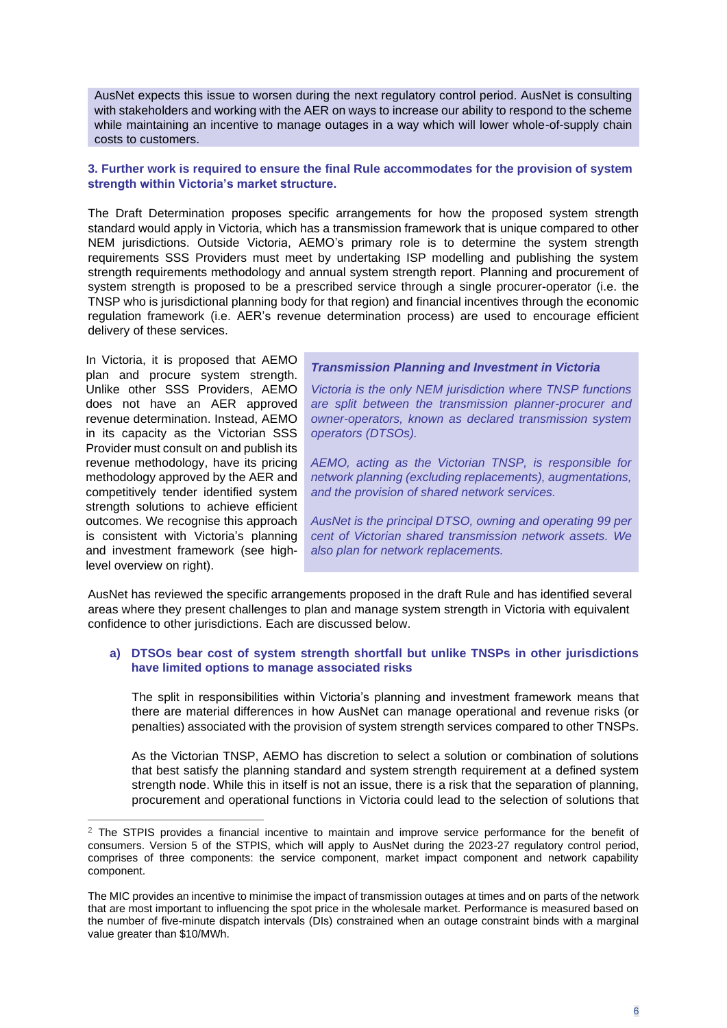AusNet expects this issue to worsen during the next regulatory control period. AusNet is consulting with stakeholders and working with the AER on ways to increase our ability to respond to the scheme while maintaining an incentive to manage outages in a way which will lower whole-of-supply chain costs to customers.

## **3. Further work is required to ensure the final Rule accommodates for the provision of system strength within Victoria's market structure.**

The Draft Determination proposes specific arrangements for how the proposed system strength standard would apply in Victoria, which has a transmission framework that is unique compared to other NEM jurisdictions. Outside Victoria, AEMO's primary role is to determine the system strength requirements SSS Providers must meet by undertaking ISP modelling and publishing the system strength requirements methodology and annual system strength report. Planning and procurement of system strength is proposed to be a prescribed service through a single procurer-operator (i.e. the TNSP who is jurisdictional planning body for that region) and financial incentives through the economic regulation framework (i.e. AER's revenue determination process) are used to encourage efficient delivery of these services.

In Victoria, it is proposed that AEMO plan and procure system strength. Unlike other SSS Providers, AEMO does not have an AER approved revenue determination. Instead, AEMO in its capacity as the Victorian SSS Provider must consult on and publish its revenue methodology, have its pricing methodology approved by the AER and competitively tender identified system strength solutions to achieve efficient outcomes. We recognise this approach is consistent with Victoria's planning and investment framework (see highlevel overview on right).

## *Transmission Planning and Investment in Victoria*

*Victoria is the only NEM jurisdiction where TNSP functions are split between the transmission planner-procurer and owner-operators, known as declared transmission system operators (DTSOs).*

*AEMO, acting as the Victorian TNSP, is responsible for network planning (excluding replacements), augmentations, and the provision of shared network services.*

*AusNet is the principal DTSO, owning and operating 99 per cent of Victorian shared transmission network assets. We also plan for network replacements.* 

AusNet has reviewed the specific arrangements proposed in the draft Rule and has identified several areas where they present challenges to plan and manage system strength in Victoria with equivalent confidence to other jurisdictions. Each are discussed below.

## **a) DTSOs bear cost of system strength shortfall but unlike TNSPs in other jurisdictions have limited options to manage associated risks**

The split in responsibilities within Victoria's planning and investment framework means that there are material differences in how AusNet can manage operational and revenue risks (or penalties) associated with the provision of system strength services compared to other TNSPs.

As the Victorian TNSP, AEMO has discretion to select a solution or combination of solutions that best satisfy the planning standard and system strength requirement at a defined system strength node. While this in itself is not an issue, there is a risk that the separation of planning, procurement and operational functions in Victoria could lead to the selection of solutions that

 $2$  The STPIS provides a financial incentive to maintain and improve service performance for the benefit of consumers. Version 5 of the STPIS, which will apply to AusNet during the 2023-27 regulatory control period, comprises of three components: the service component, market impact component and network capability component.

The MIC provides an incentive to minimise the impact of transmission outages at times and on parts of the network that are most important to influencing the spot price in the wholesale market. Performance is measured based on the number of five-minute dispatch intervals (DIs) constrained when an outage constraint binds with a marginal value greater than \$10/MWh.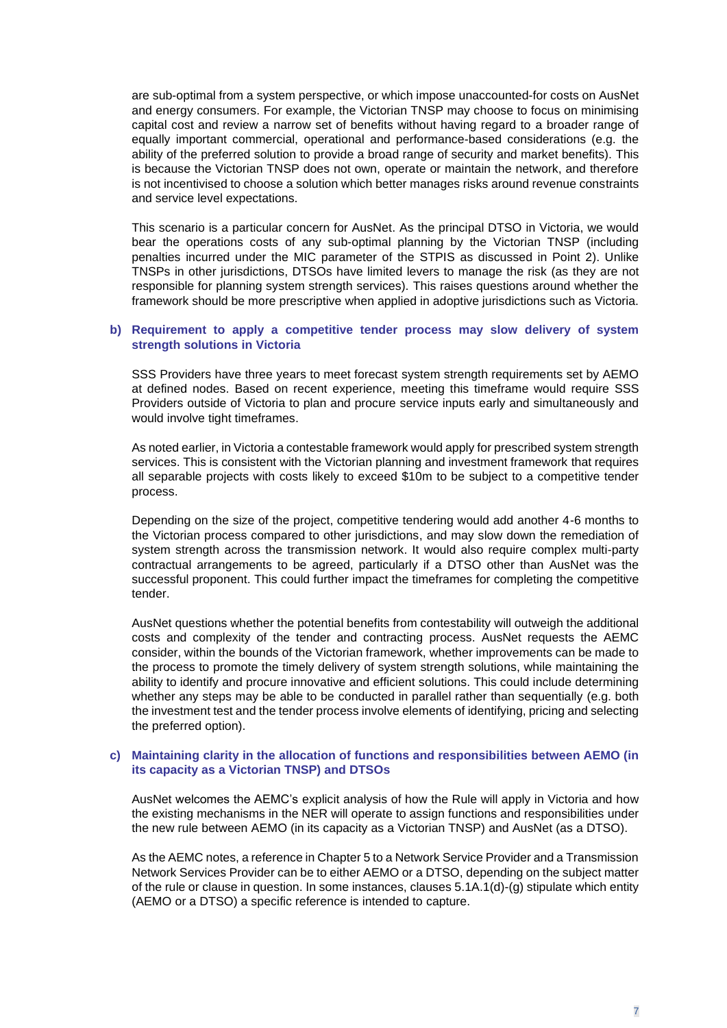are sub-optimal from a system perspective, or which impose unaccounted-for costs on AusNet and energy consumers. For example, the Victorian TNSP may choose to focus on minimising capital cost and review a narrow set of benefits without having regard to a broader range of equally important commercial, operational and performance-based considerations (e.g. the ability of the preferred solution to provide a broad range of security and market benefits). This is because the Victorian TNSP does not own, operate or maintain the network, and therefore is not incentivised to choose a solution which better manages risks around revenue constraints and service level expectations.

This scenario is a particular concern for AusNet. As the principal DTSO in Victoria, we would bear the operations costs of any sub-optimal planning by the Victorian TNSP (including penalties incurred under the MIC parameter of the STPIS as discussed in Point 2). Unlike TNSPs in other jurisdictions, DTSOs have limited levers to manage the risk (as they are not responsible for planning system strength services). This raises questions around whether the framework should be more prescriptive when applied in adoptive jurisdictions such as Victoria.

### **b) Requirement to apply a competitive tender process may slow delivery of system strength solutions in Victoria**

SSS Providers have three years to meet forecast system strength requirements set by AEMO at defined nodes. Based on recent experience, meeting this timeframe would require SSS Providers outside of Victoria to plan and procure service inputs early and simultaneously and would involve tight timeframes.

As noted earlier, in Victoria a contestable framework would apply for prescribed system strength services. This is consistent with the Victorian planning and investment framework that requires all separable projects with costs likely to exceed \$10m to be subject to a competitive tender process.

Depending on the size of the project, competitive tendering would add another 4-6 months to the Victorian process compared to other jurisdictions, and may slow down the remediation of system strength across the transmission network. It would also require complex multi-party contractual arrangements to be agreed, particularly if a DTSO other than AusNet was the successful proponent. This could further impact the timeframes for completing the competitive tender.

AusNet questions whether the potential benefits from contestability will outweigh the additional costs and complexity of the tender and contracting process. AusNet requests the AEMC consider, within the bounds of the Victorian framework, whether improvements can be made to the process to promote the timely delivery of system strength solutions, while maintaining the ability to identify and procure innovative and efficient solutions. This could include determining whether any steps may be able to be conducted in parallel rather than sequentially (e.g. both the investment test and the tender process involve elements of identifying, pricing and selecting the preferred option).

#### **c) Maintaining clarity in the allocation of functions and responsibilities between AEMO (in its capacity as a Victorian TNSP) and DTSOs**

AusNet welcomes the AEMC's explicit analysis of how the Rule will apply in Victoria and how the existing mechanisms in the NER will operate to assign functions and responsibilities under the new rule between AEMO (in its capacity as a Victorian TNSP) and AusNet (as a DTSO).

As the AEMC notes, a reference in Chapter 5 to a Network Service Provider and a Transmission Network Services Provider can be to either AEMO or a DTSO, depending on the subject matter of the rule or clause in question. In some instances, clauses 5.1A.1(d)-(g) stipulate which entity (AEMO or a DTSO) a specific reference is intended to capture.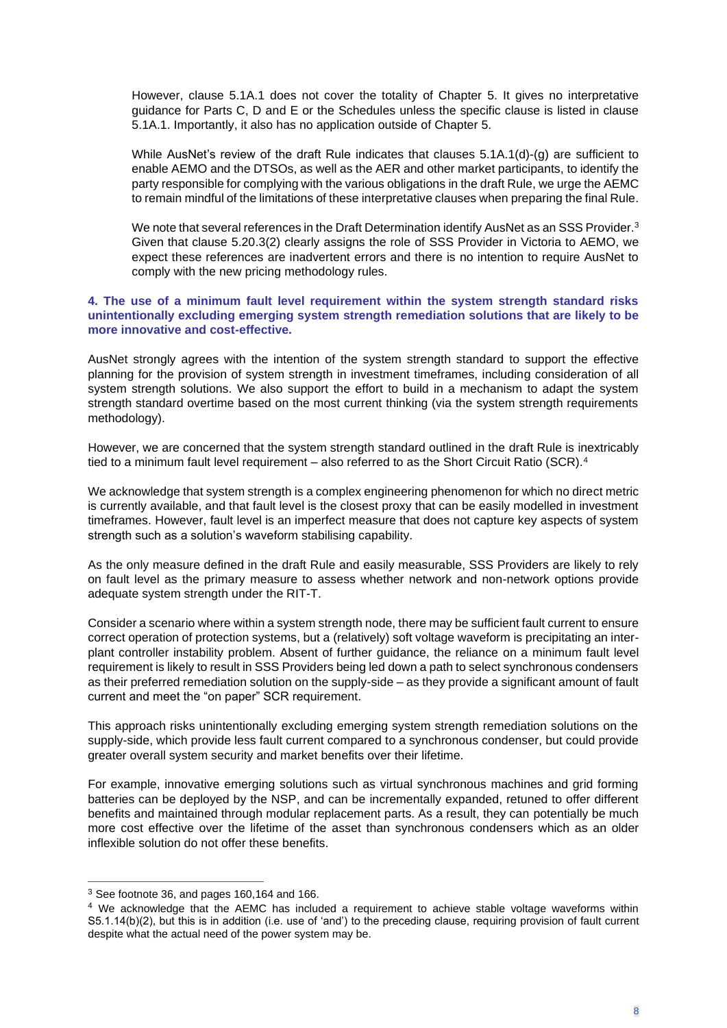However, clause 5.1A.1 does not cover the totality of Chapter 5. It gives no interpretative guidance for Parts C, D and E or the Schedules unless the specific clause is listed in clause 5.1A.1. Importantly, it also has no application outside of Chapter 5.

While AusNet's review of the draft Rule indicates that clauses 5.1A.1(d)-(g) are sufficient to enable AEMO and the DTSOs, as well as the AER and other market participants, to identify the party responsible for complying with the various obligations in the draft Rule, we urge the AEMC to remain mindful of the limitations of these interpretative clauses when preparing the final Rule.

We note that several references in the Draft Determination identify AusNet as an SSS Provider. $3$ Given that clause 5.20.3(2) clearly assigns the role of SSS Provider in Victoria to AEMO, we expect these references are inadvertent errors and there is no intention to require AusNet to comply with the new pricing methodology rules.

## **4. The use of a minimum fault level requirement within the system strength standard risks unintentionally excluding emerging system strength remediation solutions that are likely to be more innovative and cost-effective.**

AusNet strongly agrees with the intention of the system strength standard to support the effective planning for the provision of system strength in investment timeframes, including consideration of all system strength solutions. We also support the effort to build in a mechanism to adapt the system strength standard overtime based on the most current thinking (via the system strength requirements methodology).

However, we are concerned that the system strength standard outlined in the draft Rule is inextricably tied to a minimum fault level requirement – also referred to as the Short Circuit Ratio (SCR).<sup>4</sup>

We acknowledge that system strength is a complex engineering phenomenon for which no direct metric is currently available, and that fault level is the closest proxy that can be easily modelled in investment timeframes. However, fault level is an imperfect measure that does not capture key aspects of system strength such as a solution's waveform stabilising capability.

As the only measure defined in the draft Rule and easily measurable, SSS Providers are likely to rely on fault level as the primary measure to assess whether network and non-network options provide adequate system strength under the RIT-T.

Consider a scenario where within a system strength node, there may be sufficient fault current to ensure correct operation of protection systems, but a (relatively) soft voltage waveform is precipitating an interplant controller instability problem. Absent of further guidance, the reliance on a minimum fault level requirement is likely to result in SSS Providers being led down a path to select synchronous condensers as their preferred remediation solution on the supply-side – as they provide a significant amount of fault current and meet the "on paper" SCR requirement.

This approach risks unintentionally excluding emerging system strength remediation solutions on the supply-side, which provide less fault current compared to a synchronous condenser, but could provide greater overall system security and market benefits over their lifetime.

For example, innovative emerging solutions such as virtual synchronous machines and grid forming batteries can be deployed by the NSP, and can be incrementally expanded, retuned to offer different benefits and maintained through modular replacement parts. As a result, they can potentially be much more cost effective over the lifetime of the asset than synchronous condensers which as an older inflexible solution do not offer these benefits.

<sup>3</sup> See footnote 36, and pages 160,164 and 166.

<sup>4</sup> We acknowledge that the AEMC has included a requirement to achieve stable voltage waveforms within S5.1.14(b)(2), but this is in addition (i.e. use of 'and') to the preceding clause, requiring provision of fault current despite what the actual need of the power system may be.